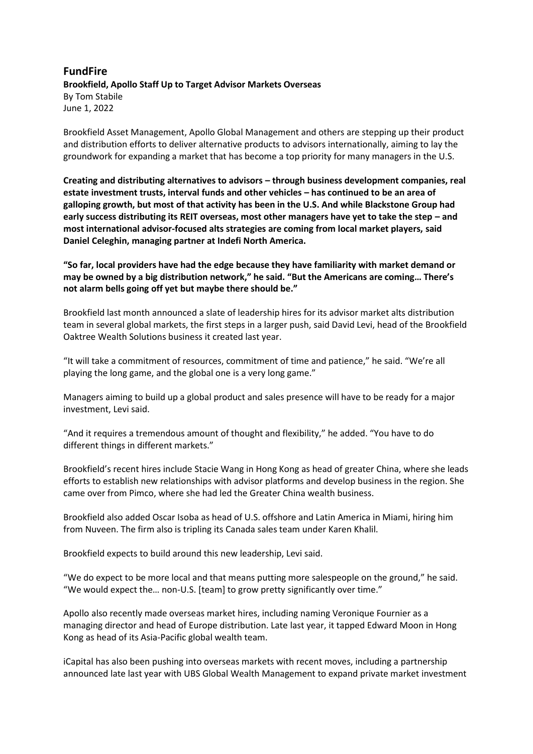## **FundFire Brookfield, Apollo Staff Up to Target Advisor Markets Overseas** By Tom Stabile June 1, 2022

Brookfield Asset Management, Apollo Global Management and others are stepping up their product and distribution efforts to deliver alternative products to advisors internationally, aiming to lay the groundwork for expanding a market that has become a top priority for many managers in the U.S.

**Creating and distributing alternatives to advisors – through business development companies, real estate investment trusts, interval funds and other vehicles – has continued to be an area of galloping growth, but most of that activity has been in the U.S. And while Blackstone Group had early success distributing its REIT overseas, most other managers have yet to take the step – and most international advisor-focused alts strategies are coming from local market players, said Daniel Celeghin, managing partner at Indefi North America.**

**"So far, local providers have had the edge because they have familiarity with market demand or may be owned by a big distribution network," he said. "But the Americans are coming… There's not alarm bells going off yet but maybe there should be."**

Brookfield last month announced a slate of leadership hires for its advisor market alts distribution team in several global markets, the first steps in a larger push, said David Levi, head of the Brookfield Oaktree Wealth Solutions business it created last year.

"It will take a commitment of resources, commitment of time and patience," he said. "We're all playing the long game, and the global one is a very long game."

Managers aiming to build up a global product and sales presence will have to be ready for a major investment, Levi said.

"And it requires a tremendous amount of thought and flexibility," he added. "You have to do different things in different markets."

Brookfield's recent hires include Stacie Wang in Hong Kong as head of greater China, where she leads efforts to establish new relationships with advisor platforms and develop business in the region. She came over from Pimco, where she had led the Greater China wealth business.

Brookfield also added Oscar Isoba as head of U.S. offshore and Latin America in Miami, hiring him from Nuveen. The firm also is tripling its Canada sales team under Karen Khalil.

Brookfield expects to build around this new leadership, Levi said.

"We do expect to be more local and that means putting more salespeople on the ground," he said. "We would expect the… non-U.S. [team] to grow pretty significantly over time."

Apollo also recently made overseas market hires, including naming Veronique Fournier as a managing director and head of Europe distribution. Late last year, it tapped Edward Moon in Hong Kong as head of its Asia-Pacific global wealth team.

iCapital has also been pushing into overseas markets with recent moves, including a partnership announced late last year with UBS Global Wealth Management to expand private market investment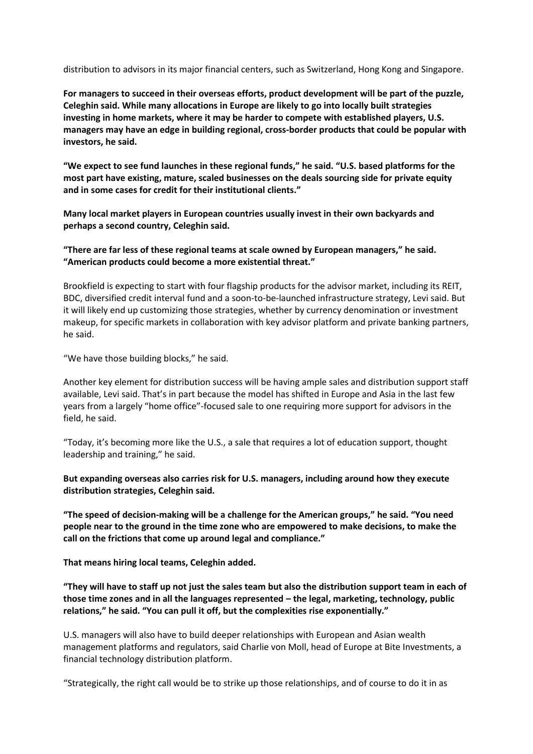distribution to advisors in its major financial centers, such as Switzerland, Hong Kong and Singapore.

**For managers to succeed in their overseas efforts, product development will be part of the puzzle, Celeghin said. While many allocations in Europe are likely to go into locally built strategies investing in home markets, where it may be harder to compete with established players, U.S. managers may have an edge in building regional, cross-border products that could be popular with investors, he said.**

**"We expect to see fund launches in these regional funds," he said. "U.S. based platforms for the most part have existing, mature, scaled businesses on the deals sourcing side for private equity and in some cases for credit for their institutional clients."**

**Many local market players in European countries usually invest in their own backyards and perhaps a second country, Celeghin said.**

**"There are far less of these regional teams at scale owned by European managers," he said. "American products could become a more existential threat."**

Brookfield is expecting to start with four flagship products for the advisor market, including its REIT, BDC, diversified credit interval fund and a soon-to-be-launched infrastructure strategy, Levi said. But it will likely end up customizing those strategies, whether by currency denomination or investment makeup, for specific markets in collaboration with key advisor platform and private banking partners, he said.

"We have those building blocks," he said.

Another key element for distribution success will be having ample sales and distribution support staff available, Levi said. That's in part because the model has shifted in Europe and Asia in the last few years from a largely "home office"-focused sale to one requiring more support for advisors in the field, he said.

"Today, it's becoming more like the U.S., a sale that requires a lot of education support, thought leadership and training," he said.

**But expanding overseas also carries risk for U.S. managers, including around how they execute distribution strategies, Celeghin said.**

**"The speed of decision-making will be a challenge for the American groups," he said. "You need people near to the ground in the time zone who are empowered to make decisions, to make the call on the frictions that come up around legal and compliance."**

**That means hiring local teams, Celeghin added.**

**"They will have to staff up not just the sales team but also the distribution support team in each of those time zones and in all the languages represented – the legal, marketing, technology, public relations," he said. "You can pull it off, but the complexities rise exponentially."**

U.S. managers will also have to build deeper relationships with European and Asian wealth management platforms and regulators, said Charlie von Moll, head of Europe at Bite Investments, a financial technology distribution platform.

"Strategically, the right call would be to strike up those relationships, and of course to do it in as